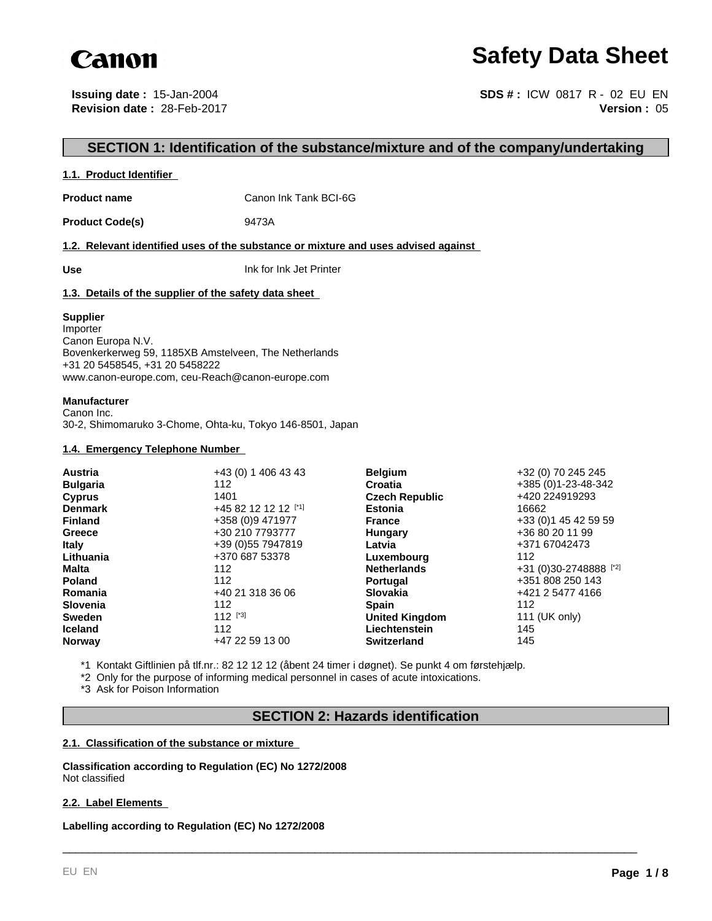

# **Safety Data Sheet**

**Issuing date :** 15-Jan-2004 **Revision date :** 28-Feb-2017

**Version :** 05 **SDS # :** ICW 0817 R - 02 EU EN

## **SECTION 1: Identification of the substance/mixture and of the company/undertaking**

#### **1.1. Product Identifier**

**Product name** Canon Ink Tank BCI-6G

Product Code(s) 9473A

**1.2. Relevant identified uses of the substance or mixture and uses advised against** 

**Use** Ink for Ink Jet Printer

#### **1.3. Details of the supplier of the safety data sheet**

#### **Supplier**

Importer Canon Europa N.V. Bovenkerkerweg 59, 1185XB Amstelveen, The Netherlands +31 20 5458545, +31 20 5458222 www.canon-europe.com, ceu-Reach@canon-europe.com

#### **Manufacturer**

Canon Inc. 30-2, Shimomaruko 3-Chome, Ohta-ku, Tokyo 146-8501, Japan

#### **1.4. Emergency Telephone Number**

| <b>Austria</b>  | +43 (0) 1 406 43 43 | <b>Belgium</b>        | +32 (0) 70 245 245     |
|-----------------|---------------------|-----------------------|------------------------|
| <b>Bulgaria</b> | 112                 | Croatia               | +385 (0)1-23-48-342    |
| <b>Cyprus</b>   | 1401                | <b>Czech Republic</b> | +420 224919293         |
| <b>Denmark</b>  | +45 82 12 12 12 [1] | <b>Estonia</b>        | 16662                  |
| <b>Finland</b>  | +358 (0)9 471977    | <b>France</b>         | +33 (0) 1 45 42 59 59  |
| Greece          | +30 210 7793777     | Hungary               | +36 80 20 11 99        |
| <b>Italy</b>    | +39 (0) 55 7947819  | Latvia                | +371 67042473          |
| Lithuania       | +370 687 53378      | Luxembourg            | 112                    |
| Malta           | 112                 | <b>Netherlands</b>    | +31 (0)30-2748888 [*2] |
| <b>Poland</b>   | 112                 | <b>Portugal</b>       | +351 808 250 143       |
| Romania         | +40 21 318 36 06    | <b>Slovakia</b>       | +421 2 5477 4166       |
| <b>Slovenia</b> | 112                 | <b>Spain</b>          | 112                    |
| <b>Sweden</b>   | $112$ [*3]          | <b>United Kingdom</b> | 111 (UK only)          |
| <b>Iceland</b>  | 112                 | Liechtenstein         | 145                    |
| <b>Norway</b>   | +47 22 59 13 00     | <b>Switzerland</b>    | 145                    |

\*1 Kontakt Giftlinien på tlf.nr.: 82 12 12 12 (åbent 24 timer i døgnet). Se punkt 4 om førstehjælp.

\*2 Only for the purpose of informing medical personnel in cases of acute intoxications.

\*3 Ask for Poison Information

## **SECTION 2: Hazards identification**

\_\_\_\_\_\_\_\_\_\_\_\_\_\_\_\_\_\_\_\_\_\_\_\_\_\_\_\_\_\_\_\_\_\_\_\_\_\_\_\_\_\_\_\_\_\_\_\_\_\_\_\_\_\_\_\_\_\_\_\_\_\_\_\_\_\_\_\_\_\_\_\_\_\_\_\_\_\_\_\_\_\_\_\_\_\_\_\_\_

#### **2.1. Classification of the substance or mixture**

**Classification according to Regulation (EC) No 1272/2008** Not classified

#### **2.2. Label Elements**

**Labelling according to Regulation (EC) No 1272/2008**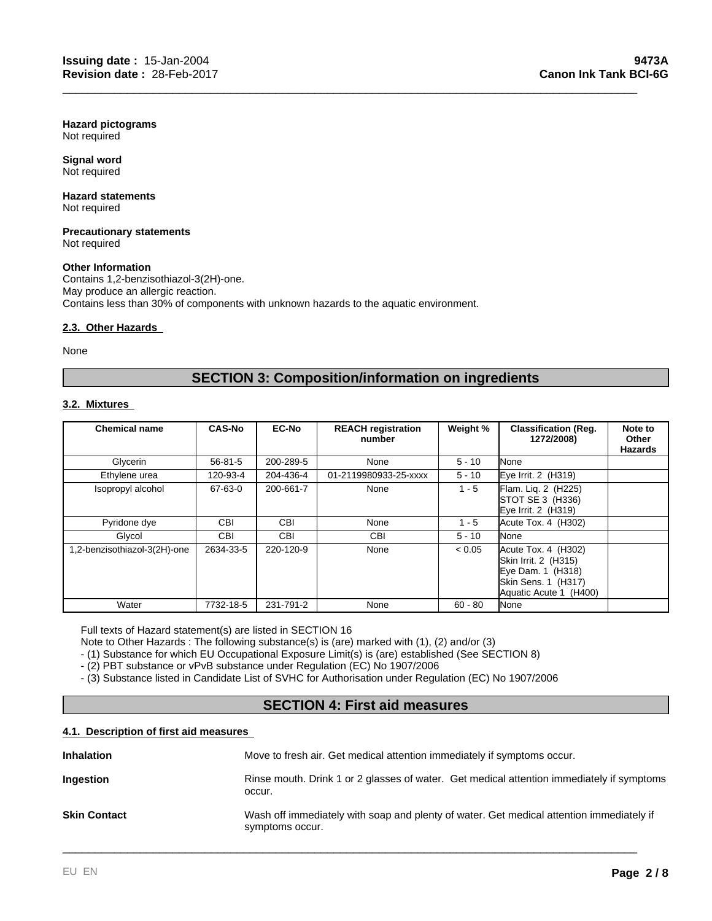**Hazard pictograms** Not required

**Signal word** Not required

#### **Hazard statements** Not required

#### **Precautionary statements** Not required

#### **Other Information**

Contains 1,2-benzisothiazol-3(2H)-one. May produce an allergic reaction. Contains less than 30% of components with unknown hazards to the aquatic environment.

#### **2.3. Other Hazards**

None

## **SECTION 3: Composition/information on ingredients**

\_\_\_\_\_\_\_\_\_\_\_\_\_\_\_\_\_\_\_\_\_\_\_\_\_\_\_\_\_\_\_\_\_\_\_\_\_\_\_\_\_\_\_\_\_\_\_\_\_\_\_\_\_\_\_\_\_\_\_\_\_\_\_\_\_\_\_\_\_\_\_\_\_\_\_\_\_\_\_\_\_\_\_\_\_\_\_\_\_

#### **3.2. Mixtures**

| <b>Chemical name</b>         | <b>CAS-No</b> | <b>EC-No</b> | <b>REACH registration</b><br>number | Weight %  | <b>Classification (Reg.</b><br>1272/2008)                                                                         | Note to<br>Other<br><b>Hazards</b> |
|------------------------------|---------------|--------------|-------------------------------------|-----------|-------------------------------------------------------------------------------------------------------------------|------------------------------------|
| Glycerin                     | $56 - 81 - 5$ | 200-289-5    | None                                | $5 - 10$  | None                                                                                                              |                                    |
| Ethylene urea                | 120-93-4      | 204-436-4    | 01-2119980933-25-xxxx               | $5 - 10$  | Eye Irrit. $2$ (H319)                                                                                             |                                    |
| Isopropyl alcohol            | 67-63-0       | 200-661-7    | None                                | $1 - 5$   | Flam. Liq. 2 (H225)<br>STOT SE 3 (H336)<br>Eye Irrit. 2 (H319)                                                    |                                    |
| Pyridone dye                 | <b>CBI</b>    | <b>CBI</b>   | None                                | 1 - 5     | Acute Tox. 4 (H302)                                                                                               |                                    |
| Glycol                       | <b>CBI</b>    | <b>CBI</b>   | <b>CBI</b>                          | $5 - 10$  | <b>I</b> None                                                                                                     |                                    |
| 1,2-benzisothiazol-3(2H)-one | 2634-33-5     | 220-120-9    | None                                | < 0.05    | Acute Tox. 4 (H302)<br>Skin Irrit. 2 (H315)<br>Eye Dam. 1 (H318)<br>Skin Sens. 1 (H317)<br>Aquatic Acute 1 (H400) |                                    |
| Water                        | 7732-18-5     | 231-791-2    | None                                | $60 - 80$ | None                                                                                                              |                                    |

Full texts of Hazard statement(s) are listed in SECTION 16

Note to Other Hazards : The following substance(s) is (are) marked with (1), (2) and/or (3)

- (1) Substance for which EU Occupational Exposure Limit(s) is (are) established (See SECTION 8)

- (2) PBT substance or vPvB substance under Regulation (EC) No 1907/2006

- (3) Substance listed in Candidate List of SVHC for Authorisation under Regulation (EC) No 1907/2006

## **SECTION 4: First aid measures**

#### **4.1. Description of first aid measures**

| <b>Inhalation</b>   | Move to fresh air. Get medical attention immediately if symptoms occur.                                     |
|---------------------|-------------------------------------------------------------------------------------------------------------|
| Ingestion           | Rinse mouth. Drink 1 or 2 glasses of water. Get medical attention immediately if symptoms<br>occur.         |
| <b>Skin Contact</b> | Wash off immediately with soap and plenty of water. Get medical attention immediately if<br>symptoms occur. |

\_\_\_\_\_\_\_\_\_\_\_\_\_\_\_\_\_\_\_\_\_\_\_\_\_\_\_\_\_\_\_\_\_\_\_\_\_\_\_\_\_\_\_\_\_\_\_\_\_\_\_\_\_\_\_\_\_\_\_\_\_\_\_\_\_\_\_\_\_\_\_\_\_\_\_\_\_\_\_\_\_\_\_\_\_\_\_\_\_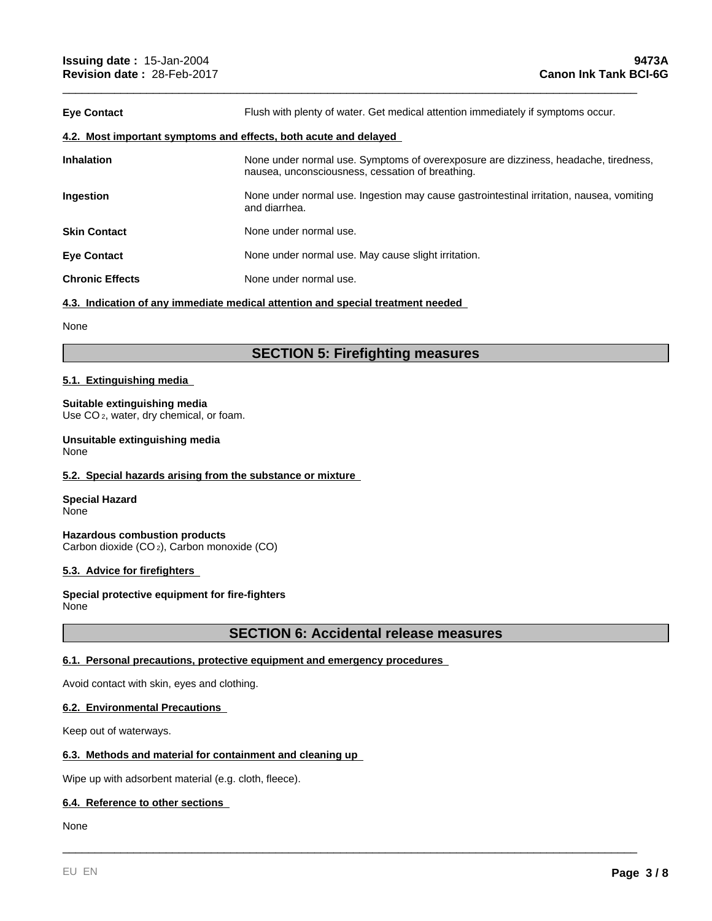| <b>Eye Contact</b>                                               | Flush with plenty of water. Get medical attention immediately if symptoms occur.                                                        |  |  |
|------------------------------------------------------------------|-----------------------------------------------------------------------------------------------------------------------------------------|--|--|
| 4.2. Most important symptoms and effects, both acute and delayed |                                                                                                                                         |  |  |
| <b>Inhalation</b>                                                | None under normal use. Symptoms of overexposure are dizziness, headache, tiredness,<br>nausea, unconsciousness, cessation of breathing. |  |  |
| <b>Ingestion</b>                                                 | None under normal use. Ingestion may cause gastrointestinal irritation, nausea, vomiting<br>and diarrhea.                               |  |  |
| <b>Skin Contact</b>                                              | None under normal use.                                                                                                                  |  |  |
| <b>Eye Contact</b>                                               | None under normal use. May cause slight irritation.                                                                                     |  |  |
| <b>Chronic Effects</b>                                           | None under normal use.                                                                                                                  |  |  |
|                                                                  |                                                                                                                                         |  |  |

\_\_\_\_\_\_\_\_\_\_\_\_\_\_\_\_\_\_\_\_\_\_\_\_\_\_\_\_\_\_\_\_\_\_\_\_\_\_\_\_\_\_\_\_\_\_\_\_\_\_\_\_\_\_\_\_\_\_\_\_\_\_\_\_\_\_\_\_\_\_\_\_\_\_\_\_\_\_\_\_\_\_\_\_\_\_\_\_\_

#### **4.3. Indication of any immediate medical attention and special treatment needed**

None

## **SECTION 5: Firefighting measures**

#### **5.1. Extinguishing media**

#### **Suitable extinguishing media**

Use CO 2, water, dry chemical, or foam.

## **Unsuitable extinguishing media**

None

#### **5.2. Special hazards arising from the substance or mixture**

**Special Hazard** None

**Hazardous combustion products** Carbon dioxide (CO 2), Carbon monoxide (CO)

#### **5.3. Advice for firefighters**

**Special protective equipment for fire-fighters** None

#### **SECTION 6: Accidental release measures**

\_\_\_\_\_\_\_\_\_\_\_\_\_\_\_\_\_\_\_\_\_\_\_\_\_\_\_\_\_\_\_\_\_\_\_\_\_\_\_\_\_\_\_\_\_\_\_\_\_\_\_\_\_\_\_\_\_\_\_\_\_\_\_\_\_\_\_\_\_\_\_\_\_\_\_\_\_\_\_\_\_\_\_\_\_\_\_\_\_

#### **6.1. Personal precautions, protective equipment and emergency procedures**

Avoid contact with skin, eyes and clothing.

#### **6.2. Environmental Precautions**

Keep out of waterways.

#### **6.3. Methods and material for containment and cleaning up**

Wipe up with adsorbent material (e.g. cloth, fleece).

#### **6.4. Reference to other sections**

None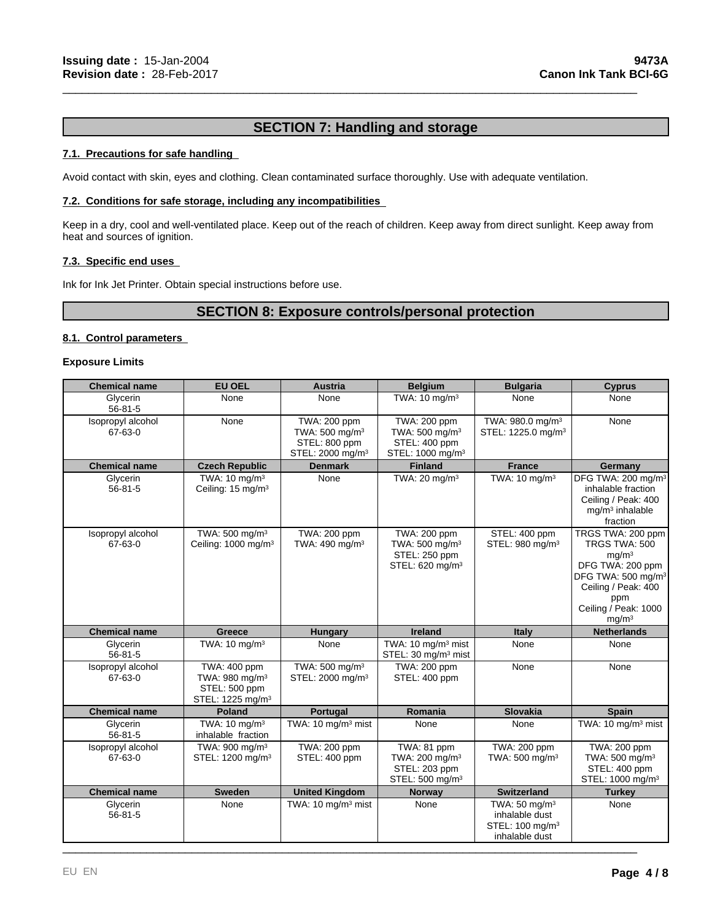## **SECTION 7: Handling and storage**

\_\_\_\_\_\_\_\_\_\_\_\_\_\_\_\_\_\_\_\_\_\_\_\_\_\_\_\_\_\_\_\_\_\_\_\_\_\_\_\_\_\_\_\_\_\_\_\_\_\_\_\_\_\_\_\_\_\_\_\_\_\_\_\_\_\_\_\_\_\_\_\_\_\_\_\_\_\_\_\_\_\_\_\_\_\_\_\_\_

#### **7.1. Precautions for safe handling**

Avoid contact with skin, eyes and clothing. Clean contaminated surface thoroughly. Use with adequate ventilation.

#### **7.2. Conditions for safe storage, including any incompatibilities**

Keep in a dry, cool and well-ventilated place. Keep out of the reach of children. Keep away from direct sunlight. Keep away from heat and sources of ignition.

#### **7.3. Specific end uses**

Ink for Ink Jet Printer. Obtain special instructions before use.

## **SECTION 8: Exposure controls/personal protection**

#### **8.1. Control parameters**

#### **Exposure Limits**

| <b>Chemical name</b>         | <b>EU OEL</b>                                                                               | <b>Austria</b>                                                                              | <b>Belgium</b>                                                                              | <b>Bulgaria</b>                                                                             | <b>Cyprus</b>                                                                                                                                                                            |
|------------------------------|---------------------------------------------------------------------------------------------|---------------------------------------------------------------------------------------------|---------------------------------------------------------------------------------------------|---------------------------------------------------------------------------------------------|------------------------------------------------------------------------------------------------------------------------------------------------------------------------------------------|
| Glycerin<br>$56 - 81 - 5$    | None                                                                                        | None                                                                                        | TWA: 10 mg/m <sup>3</sup>                                                                   | None                                                                                        | None                                                                                                                                                                                     |
| Isopropyl alcohol<br>67-63-0 | None                                                                                        | TWA: 200 ppm<br>TWA: 500 mg/m <sup>3</sup><br>STEL: 800 ppm<br>STEL: 2000 mg/m <sup>3</sup> | TWA: 200 ppm<br>TWA: 500 mg/m <sup>3</sup><br>STEL: 400 ppm<br>STEL: 1000 mg/m <sup>3</sup> | TWA: 980.0 mg/m <sup>3</sup><br>STEL: 1225.0 mg/m <sup>3</sup>                              | None                                                                                                                                                                                     |
| <b>Chemical name</b>         | <b>Czech Republic</b>                                                                       | <b>Denmark</b>                                                                              | <b>Finland</b>                                                                              | <b>France</b>                                                                               | Germany                                                                                                                                                                                  |
| Glycerin<br>$56 - 81 - 5$    | TWA: 10 mg/m <sup>3</sup><br>Ceiling: 15 mg/m <sup>3</sup>                                  | None                                                                                        | TWA: 20 mg/m <sup>3</sup>                                                                   | TWA: 10 mg/m <sup>3</sup>                                                                   | DFG TWA: 200 mg/m <sup>3</sup><br>inhalable fraction<br>Ceiling / Peak: 400<br>$mg/m3$ inhalable<br>fraction                                                                             |
| Isopropyl alcohol<br>67-63-0 | TWA: 500 mg/m <sup>3</sup><br>Ceiling: 1000 mg/m <sup>3</sup>                               | TWA: 200 ppm<br>TWA: 490 mg/m <sup>3</sup>                                                  | TWA: 200 ppm<br>TWA: 500 mg/m <sup>3</sup><br>STEL: 250 ppm<br>STEL: 620 mg/m <sup>3</sup>  | STEL: 400 ppm<br>STEL: 980 mg/m <sup>3</sup>                                                | TRGS TWA: 200 ppm<br>TRGS TWA: 500<br>mq/m <sup>3</sup><br>DFG TWA: 200 ppm<br>DFG TWA: 500 mg/m <sup>3</sup><br>Ceiling / Peak: 400<br>ppm<br>Ceiling / Peak: 1000<br>mg/m <sup>3</sup> |
| <b>Chemical name</b>         | Greece                                                                                      | Hungary                                                                                     | <b>Ireland</b>                                                                              | Italy                                                                                       | <b>Netherlands</b>                                                                                                                                                                       |
| Glycerin<br>$56 - 81 - 5$    | TWA: 10 mg/m <sup>3</sup>                                                                   | None                                                                                        | TWA: 10 mg/m <sup>3</sup> mist<br>STEL: 30 mg/m <sup>3</sup> mist                           | None                                                                                        | None                                                                                                                                                                                     |
| Isopropyl alcohol<br>67-63-0 | TWA: 400 ppm<br>TWA: 980 mg/m <sup>3</sup><br>STEL: 500 ppm<br>STEL: 1225 mg/m <sup>3</sup> | TWA: 500 mg/m <sup>3</sup><br>STEL: 2000 mg/m <sup>3</sup>                                  | TWA: 200 ppm<br>STEL: 400 ppm                                                               | None                                                                                        | None                                                                                                                                                                                     |
| <b>Chemical name</b>         | <b>Poland</b>                                                                               | Portugal                                                                                    | Romania                                                                                     | <b>Slovakia</b>                                                                             | <b>Spain</b>                                                                                                                                                                             |
| Glycerin<br>$56 - 81 - 5$    | TWA: $10 \text{ mg/m}^3$<br>inhalable fraction                                              | TWA: 10 mg/m <sup>3</sup> mist                                                              | None                                                                                        | None                                                                                        | TWA: 10 mg/m <sup>3</sup> mist                                                                                                                                                           |
| Isopropyl alcohol<br>67-63-0 | TWA: $900 \text{ mg/m}^3$<br>STEL: 1200 mg/m <sup>3</sup>                                   | TWA: 200 ppm<br>STEL: 400 ppm                                                               | TWA: 81 ppm<br>TWA: 200 mg/m <sup>3</sup><br>STEL: 203 ppm<br>STEL: 500 mg/m <sup>3</sup>   | TWA: 200 ppm<br>TWA: 500 mg/m <sup>3</sup>                                                  | <b>TWA: 200 ppm</b><br>TWA: 500 mg/m <sup>3</sup><br>STEL: 400 ppm<br>STEL: 1000 mg/m <sup>3</sup>                                                                                       |
| <b>Chemical name</b>         | <b>Sweden</b>                                                                               | <b>United Kingdom</b>                                                                       | <b>Norway</b>                                                                               | <b>Switzerland</b>                                                                          | <b>Turkey</b>                                                                                                                                                                            |
| Glycerin<br>$56 - 81 - 5$    | None                                                                                        | TWA: 10 mg/m <sup>3</sup> mist                                                              | None                                                                                        | TWA: $50 \text{ ma/m}^3$<br>inhalable dust<br>STEL: 100 mg/m <sup>3</sup><br>inhalable dust | None                                                                                                                                                                                     |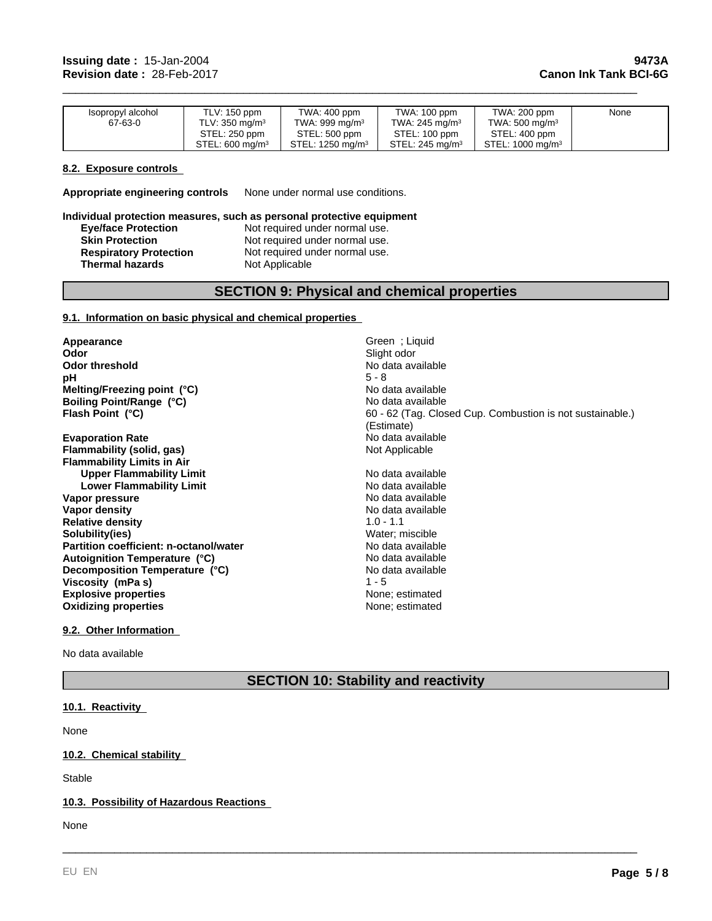| Isopropyl alcohol | TLV: 150 ppm               | TWA: 400 ppm        | TWA: 100 ppm               | TWA: 200 ppm                 | None |
|-------------------|----------------------------|---------------------|----------------------------|------------------------------|------|
| 67-63-0           | TLV: $350 \text{ ma/m}^3$  | TWA: 999 mg/m $3$   | TWA: 245 mg/m <sup>3</sup> | TWA: 500 mg/m <sup>3</sup>   |      |
|                   | STEL: 250 ppm              | STEL: 500 ppm       | STEL: 100 ppm              | STEL: 400 ppm                |      |
|                   | STEL: $600 \text{ ma/m}^3$ | STEL: 1250 mg/m $3$ | STEL: 245 $ma/m3$          | STEL: 1000 mg/m <sup>3</sup> |      |

\_\_\_\_\_\_\_\_\_\_\_\_\_\_\_\_\_\_\_\_\_\_\_\_\_\_\_\_\_\_\_\_\_\_\_\_\_\_\_\_\_\_\_\_\_\_\_\_\_\_\_\_\_\_\_\_\_\_\_\_\_\_\_\_\_\_\_\_\_\_\_\_\_\_\_\_\_\_\_\_\_\_\_\_\_\_\_\_\_

#### **8.2. Exposure controls**

**Appropriate engineering controls** None under normal use conditions.

#### **Individual protection measures, such as personal protective equipment Eye/face Protection**<br> **Skin Protection**<br>
Not required under normal use. Not required under normal use.<br>Not required under normal use. **Respiratory Protection Thermal hazards** Not Applicable

## **SECTION 9: Physical and chemical properties**

#### **9.1. Information on basic physical and chemical properties**

**Appearance Green** ; Liquid **Odor Green** ; Liquid **Odor Odor threshold No data available No data available pH** 5 - 8 **Boiling Point/Range (°C) Melting/Freezing point (°C)**

**Evaporation Rate Evaporation Rate** No data available **Flammability (solid, gas)** No data available **Flammability (solid, gas) Flammability Limits in Air Upper Flammability Limit** No data available<br> **Lower Flammability Limit** No data available **Lower Flammability Limit** No data available<br> **Lower Flammability Limit** No data available **Vapor pressure Vapor density**  $\blacksquare$  No data available **Relative density and the set of the control of the Solubility (1.0 - 1.1 Solubility (i.e. 1.1 Solubility (i.e. 1.1 Solubility (i.e. 1.1 Solubility (i.e. 1.1 Solubility (i.e. 1.1 Solubility (i.e. 1.1 Solubility (i.e. 1.1 S**  $S$ olubility(ies) Partition coefficient: n-octanol/water<br>
No data available **Explosive properties Explosive properties None**; estimated **Oxidizing properties** None; estimated **Decomposition Temperature (°C) Viscosity (mPa s) Autoignition Temperature (°C)**

**Odor** Slight odor No data available No data available **Flash Point (°C) Flash Point (°C) 60 - 62** (Tag. Closed Cup. Combustion is not sustainable.) (Estimate)

No data available No data available<br>1 - 5

\_\_\_\_\_\_\_\_\_\_\_\_\_\_\_\_\_\_\_\_\_\_\_\_\_\_\_\_\_\_\_\_\_\_\_\_\_\_\_\_\_\_\_\_\_\_\_\_\_\_\_\_\_\_\_\_\_\_\_\_\_\_\_\_\_\_\_\_\_\_\_\_\_\_\_\_\_\_\_\_\_\_\_\_\_\_\_\_\_

#### **9.2. Other Information**

No data available

## **SECTION 10: Stability and reactivity**

#### **10.1. Reactivity**

None

## **10.2. Chemical stability**

Stable

#### **10.3. Possibility of Hazardous Reactions**

None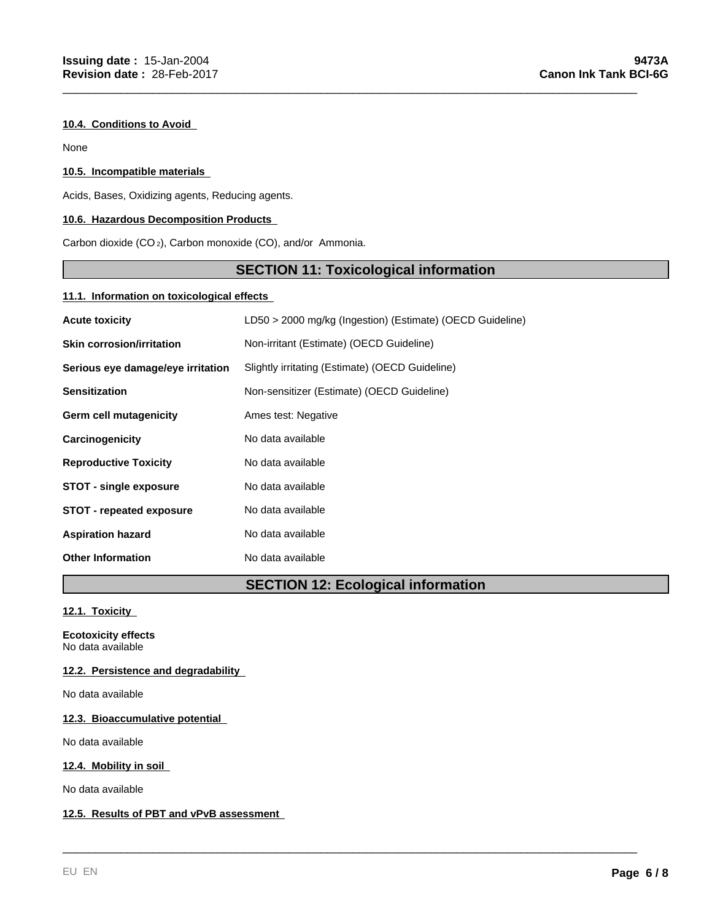#### **10.4. Conditions to Avoid**

None

### **10.5. Incompatible materials**

Acids, Bases, Oxidizing agents, Reducing agents.

## **10.6. Hazardous Decomposition Products**

Carbon dioxide (CO 2), Carbon monoxide (CO), and/or Ammonia.

## **SECTION 11: Toxicological information**

\_\_\_\_\_\_\_\_\_\_\_\_\_\_\_\_\_\_\_\_\_\_\_\_\_\_\_\_\_\_\_\_\_\_\_\_\_\_\_\_\_\_\_\_\_\_\_\_\_\_\_\_\_\_\_\_\_\_\_\_\_\_\_\_\_\_\_\_\_\_\_\_\_\_\_\_\_\_\_\_\_\_\_\_\_\_\_\_\_

#### **11.1. Information on toxicological effects**

| <b>Acute toxicity</b>             | LD50 > 2000 mg/kg (Ingestion) (Estimate) (OECD Guideline) |
|-----------------------------------|-----------------------------------------------------------|
| <b>Skin corrosion/irritation</b>  | Non-irritant (Estimate) (OECD Guideline)                  |
| Serious eye damage/eye irritation | Slightly irritating (Estimate) (OECD Guideline)           |
| <b>Sensitization</b>              | Non-sensitizer (Estimate) (OECD Guideline)                |
| <b>Germ cell mutagenicity</b>     | Ames test: Negative                                       |
| Carcinogenicity                   | No data available                                         |
| <b>Reproductive Toxicity</b>      | No data available                                         |
| <b>STOT - single exposure</b>     | No data available                                         |
| <b>STOT - repeated exposure</b>   | No data available                                         |
| <b>Aspiration hazard</b>          | No data available                                         |
| <b>Other Information</b>          | No data available                                         |

## **SECTION 12: Ecological information**

\_\_\_\_\_\_\_\_\_\_\_\_\_\_\_\_\_\_\_\_\_\_\_\_\_\_\_\_\_\_\_\_\_\_\_\_\_\_\_\_\_\_\_\_\_\_\_\_\_\_\_\_\_\_\_\_\_\_\_\_\_\_\_\_\_\_\_\_\_\_\_\_\_\_\_\_\_\_\_\_\_\_\_\_\_\_\_\_\_

**12.1. Toxicity** 

**Ecotoxicity effects** No data available

#### **12.2. Persistence and degradability**

No data available

**12.3. Bioaccumulative potential** 

No data available

**12.4. Mobility in soil** 

No data available

#### **12.5. Results of PBT and vPvB assessment**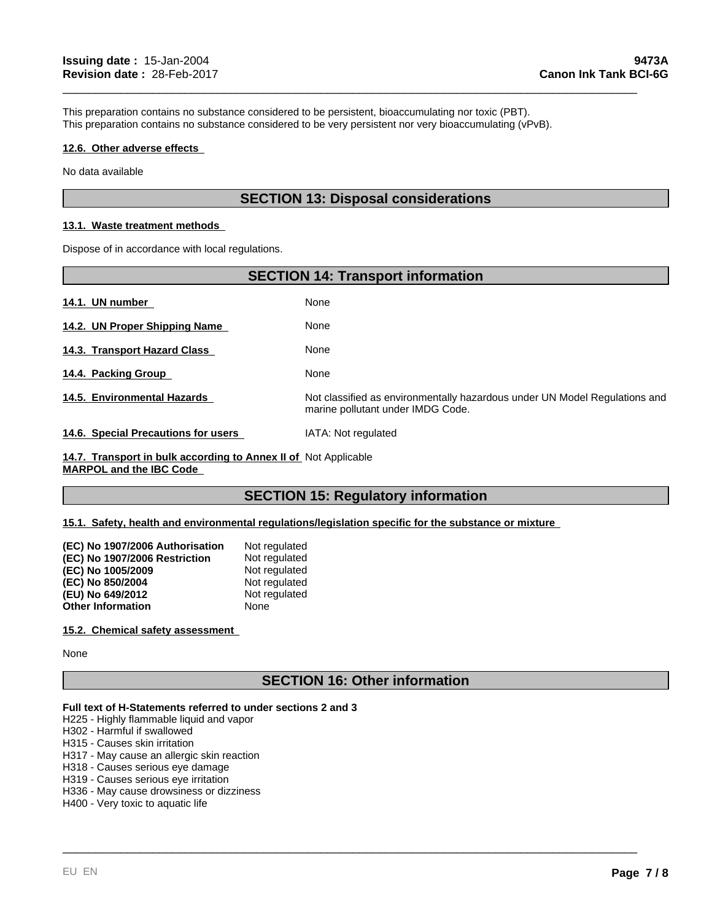This preparation contains no substance considered to be persistent, bioaccumulating nor toxic (PBT). This preparation contains no substance considered to be very persistent nor very bioaccumulating (vPvB).

#### **12.6. Other adverse effects**

No data available

## **SECTION 13: Disposal considerations**

\_\_\_\_\_\_\_\_\_\_\_\_\_\_\_\_\_\_\_\_\_\_\_\_\_\_\_\_\_\_\_\_\_\_\_\_\_\_\_\_\_\_\_\_\_\_\_\_\_\_\_\_\_\_\_\_\_\_\_\_\_\_\_\_\_\_\_\_\_\_\_\_\_\_\_\_\_\_\_\_\_\_\_\_\_\_\_\_\_

#### **13.1. Waste treatment methods**

Dispose of in accordance with local regulations.

|                                     | <b>SECTION 14: Transport information</b>                                                                        |
|-------------------------------------|-----------------------------------------------------------------------------------------------------------------|
| 14.1. UN number                     | None                                                                                                            |
| 14.2. UN Proper Shipping Name       | None                                                                                                            |
| 14.3. Transport Hazard Class        | None                                                                                                            |
| 14.4. Packing Group                 | None                                                                                                            |
| 14.5. Environmental Hazards         | Not classified as environmentally hazardous under UN Model Regulations and<br>marine pollutant under IMDG Code. |
| 14.6. Special Precautions for users | IATA: Not regulated                                                                                             |

**14.7. Transport in bulk according to Annex II of**  Not Applicable **MARPOL and the IBC Code** 

## **SECTION 15: Regulatory information**

**15.1. Safety, health and environmental regulations/legislation specific for the substance or mixture** 

| (EC) No 1907/2006 Authorisation | Not regulated |
|---------------------------------|---------------|
| (EC) No 1907/2006 Restriction   | Not regulated |
| (EC) No 1005/2009               | Not regulated |
| (EC) No 850/2004                | Not regulated |
| (EU) No 649/2012                | Not regulated |
| <b>Other Information</b>        | None          |

#### **15.2. Chemical safety assessment**

None

## **SECTION 16: Other information**

\_\_\_\_\_\_\_\_\_\_\_\_\_\_\_\_\_\_\_\_\_\_\_\_\_\_\_\_\_\_\_\_\_\_\_\_\_\_\_\_\_\_\_\_\_\_\_\_\_\_\_\_\_\_\_\_\_\_\_\_\_\_\_\_\_\_\_\_\_\_\_\_\_\_\_\_\_\_\_\_\_\_\_\_\_\_\_\_\_

#### **Full text of H-Statements referred to under sections 2 and 3**

H225 - Highly flammable liquid and vapor

H302 - Harmful if swallowed

H315 - Causes skin irritation

H317 - May cause an allergic skin reaction

H318 - Causes serious eye damage

H319 - Causes serious eye irritation

H336 - May cause drowsiness or dizziness

H400 - Very toxic to aquatic life